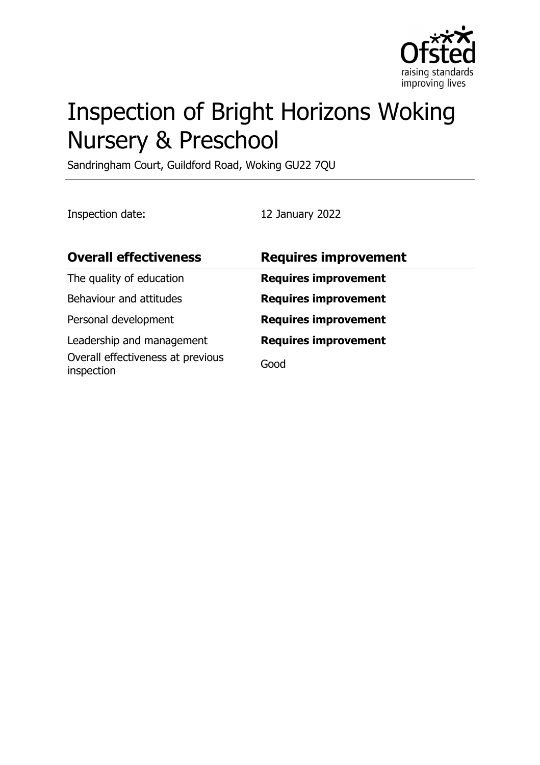

# Inspection of Bright Horizons Woking Nursery & Preschool

Sandringham Court, Guildford Road, Woking GU22 7QU

Inspection date: 12 January 2022

| <b>Overall effectiveness</b>                    | <b>Requires improvement</b> |
|-------------------------------------------------|-----------------------------|
| The quality of education                        | <b>Requires improvement</b> |
| Behaviour and attitudes                         | <b>Requires improvement</b> |
| Personal development                            | <b>Requires improvement</b> |
| Leadership and management                       | <b>Requires improvement</b> |
| Overall effectiveness at previous<br>inspection | Good                        |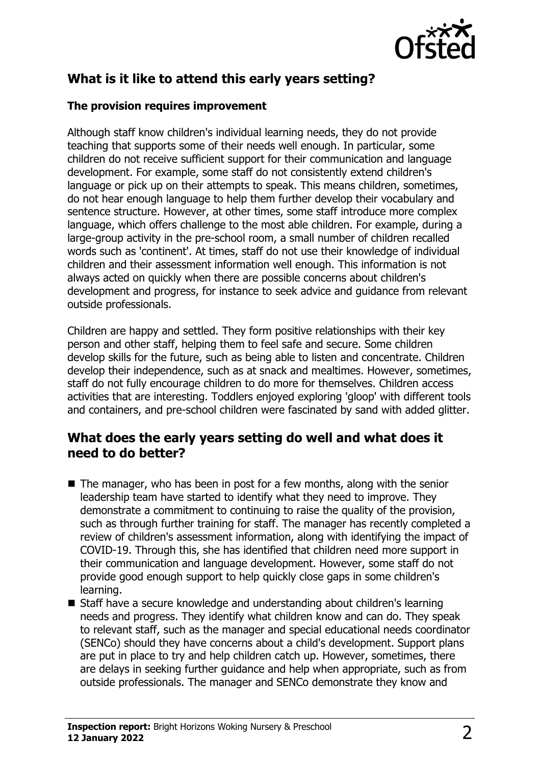

## **What is it like to attend this early years setting?**

#### **The provision requires improvement**

Although staff know children's individual learning needs, they do not provide teaching that supports some of their needs well enough. In particular, some children do not receive sufficient support for their communication and language development. For example, some staff do not consistently extend children's language or pick up on their attempts to speak. This means children, sometimes, do not hear enough language to help them further develop their vocabulary and sentence structure. However, at other times, some staff introduce more complex language, which offers challenge to the most able children. For example, during a large-group activity in the pre-school room, a small number of children recalled words such as 'continent'. At times, staff do not use their knowledge of individual children and their assessment information well enough. This information is not always acted on quickly when there are possible concerns about children's development and progress, for instance to seek advice and guidance from relevant outside professionals.

Children are happy and settled. They form positive relationships with their key person and other staff, helping them to feel safe and secure. Some children develop skills for the future, such as being able to listen and concentrate. Children develop their independence, such as at snack and mealtimes. However, sometimes, staff do not fully encourage children to do more for themselves. Children access activities that are interesting. Toddlers enjoyed exploring 'gloop' with different tools and containers, and pre-school children were fascinated by sand with added glitter.

### **What does the early years setting do well and what does it need to do better?**

- $\blacksquare$  The manager, who has been in post for a few months, along with the senior leadership team have started to identify what they need to improve. They demonstrate a commitment to continuing to raise the quality of the provision, such as through further training for staff. The manager has recently completed a review of children's assessment information, along with identifying the impact of COVID-19. Through this, she has identified that children need more support in their communication and language development. However, some staff do not provide good enough support to help quickly close gaps in some children's learning.
- Staff have a secure knowledge and understanding about children's learning needs and progress. They identify what children know and can do. They speak to relevant staff, such as the manager and special educational needs coordinator (SENCo) should they have concerns about a child's development. Support plans are put in place to try and help children catch up. However, sometimes, there are delays in seeking further guidance and help when appropriate, such as from outside professionals. The manager and SENCo demonstrate they know and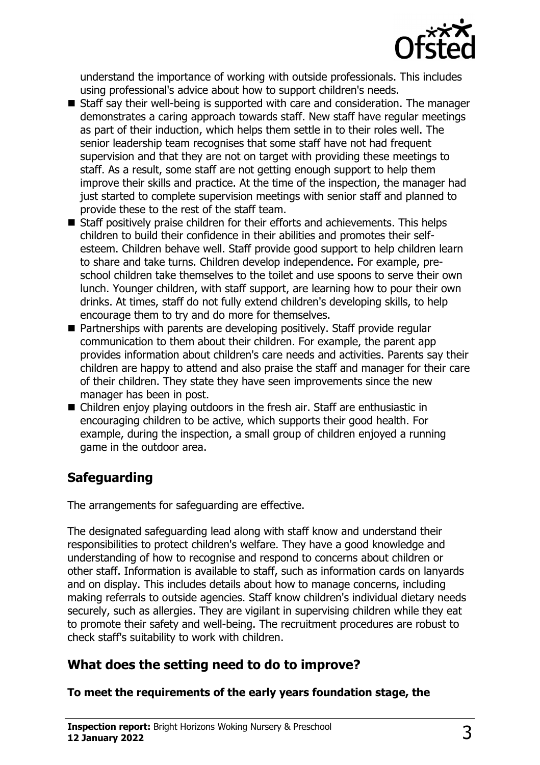

understand the importance of working with outside professionals. This includes using professional's advice about how to support children's needs.

- $\blacksquare$  Staff say their well-being is supported with care and consideration. The manager demonstrates a caring approach towards staff. New staff have regular meetings as part of their induction, which helps them settle in to their roles well. The senior leadership team recognises that some staff have not had frequent supervision and that they are not on target with providing these meetings to staff. As a result, some staff are not getting enough support to help them improve their skills and practice. At the time of the inspection, the manager had just started to complete supervision meetings with senior staff and planned to provide these to the rest of the staff team.
- $\blacksquare$  Staff positively praise children for their efforts and achievements. This helps children to build their confidence in their abilities and promotes their selfesteem. Children behave well. Staff provide good support to help children learn to share and take turns. Children develop independence. For example, preschool children take themselves to the toilet and use spoons to serve their own lunch. Younger children, with staff support, are learning how to pour their own drinks. At times, staff do not fully extend children's developing skills, to help encourage them to try and do more for themselves.
- $\blacksquare$  Partnerships with parents are developing positively. Staff provide regular communication to them about their children. For example, the parent app provides information about children's care needs and activities. Parents say their children are happy to attend and also praise the staff and manager for their care of their children. They state they have seen improvements since the new manager has been in post.
- $\blacksquare$  Children enjoy playing outdoors in the fresh air. Staff are enthusiastic in encouraging children to be active, which supports their good health. For example, during the inspection, a small group of children enjoyed a running game in the outdoor area.

# **Safeguarding**

The arrangements for safeguarding are effective.

The designated safeguarding lead along with staff know and understand their responsibilities to protect children's welfare. They have a good knowledge and understanding of how to recognise and respond to concerns about children or other staff. Information is available to staff, such as information cards on lanyards and on display. This includes details about how to manage concerns, including making referrals to outside agencies. Staff know children's individual dietary needs securely, such as allergies. They are vigilant in supervising children while they eat to promote their safety and well-being. The recruitment procedures are robust to check staff's suitability to work with children.

# **What does the setting need to do to improve?**

**To meet the requirements of the early years foundation stage, the**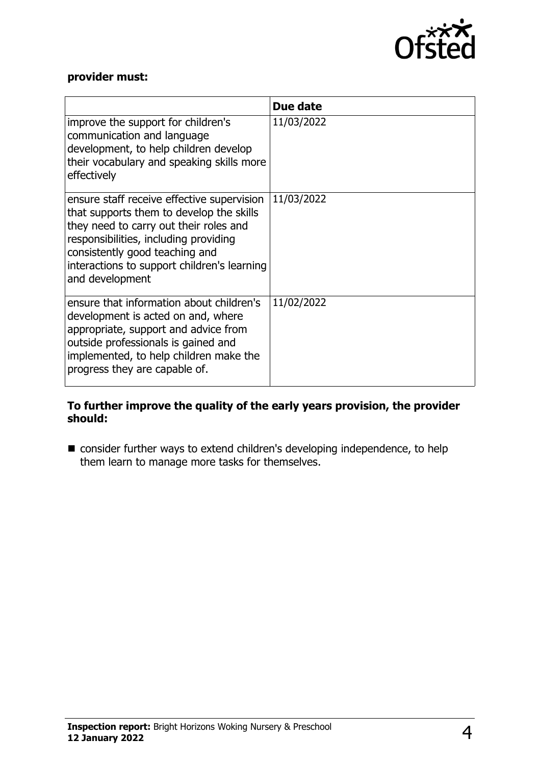

#### **provider must:**

|                                                                                                                                                                                                                                                                               | Due date   |
|-------------------------------------------------------------------------------------------------------------------------------------------------------------------------------------------------------------------------------------------------------------------------------|------------|
| improve the support for children's<br>communication and language<br>development, to help children develop<br>their vocabulary and speaking skills more<br>effectively                                                                                                         | 11/03/2022 |
| ensure staff receive effective supervision<br>that supports them to develop the skills<br>they need to carry out their roles and<br>responsibilities, including providing<br>consistently good teaching and<br>interactions to support children's learning<br>and development | 11/03/2022 |
| ensure that information about children's<br>development is acted on and, where<br>appropriate, support and advice from<br>outside professionals is gained and<br>implemented, to help children make the<br>progress they are capable of.                                      | 11/02/2022 |

#### **To further improve the quality of the early years provision, the provider should:**

■ consider further ways to extend children's developing independence, to help them learn to manage more tasks for themselves.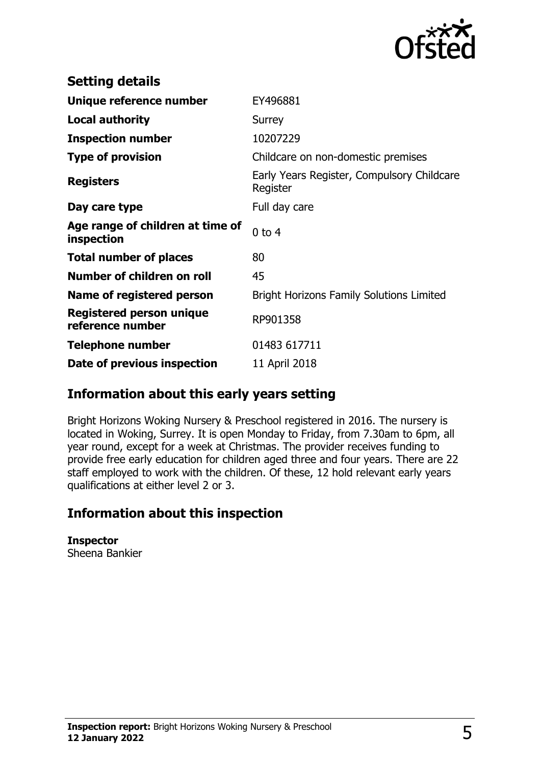

| <b>Setting details</b>                         |                                                        |
|------------------------------------------------|--------------------------------------------------------|
| Unique reference number                        | EY496881                                               |
| <b>Local authority</b>                         | Surrey                                                 |
| <b>Inspection number</b>                       | 10207229                                               |
| <b>Type of provision</b>                       | Childcare on non-domestic premises                     |
| <b>Registers</b>                               | Early Years Register, Compulsory Childcare<br>Register |
| Day care type                                  | Full day care                                          |
| Age range of children at time of<br>inspection | $0$ to $4$                                             |
| <b>Total number of places</b>                  | 80                                                     |
| Number of children on roll                     | 45                                                     |
| Name of registered person                      | <b>Bright Horizons Family Solutions Limited</b>        |
| Registered person unique<br>reference number   | RP901358                                               |
| <b>Telephone number</b>                        | 01483 617711                                           |
| Date of previous inspection                    | 11 April 2018                                          |

## **Information about this early years setting**

Bright Horizons Woking Nursery & Preschool registered in 2016. The nursery is located in Woking, Surrey. It is open Monday to Friday, from 7.30am to 6pm, all year round, except for a week at Christmas. The provider receives funding to provide free early education for children aged three and four years. There are 22 staff employed to work with the children. Of these, 12 hold relevant early years qualifications at either level 2 or 3.

## **Information about this inspection**

**Inspector** Sheena Bankier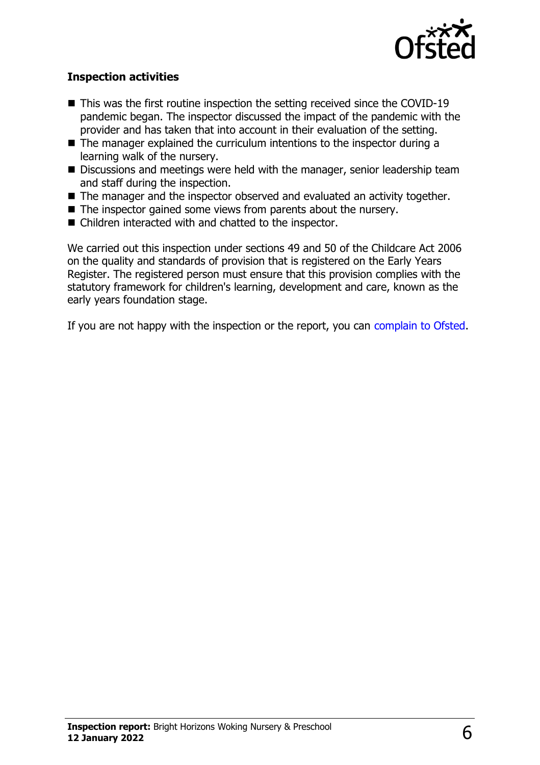

#### **Inspection activities**

- $\blacksquare$  This was the first routine inspection the setting received since the COVID-19 pandemic began. The inspector discussed the impact of the pandemic with the provider and has taken that into account in their evaluation of the setting.
- $\blacksquare$  The manager explained the curriculum intentions to the inspector during a learning walk of the nursery.
- $\blacksquare$  Discussions and meetings were held with the manager, senior leadership team and staff during the inspection.
- The manager and the inspector observed and evaluated an activity together.
- $\blacksquare$  The inspector gained some views from parents about the nursery.
- $\blacksquare$  Children interacted with and chatted to the inspector.

We carried out this inspection under sections 49 and 50 of the Childcare Act 2006 on the quality and standards of provision that is registered on the Early Years Register. The registered person must ensure that this provision complies with the statutory framework for children's learning, development and care, known as the early years foundation stage.

If you are not happy with the inspection or the report, you can [complain to Ofsted](http://www.gov.uk/complain-ofsted-report).